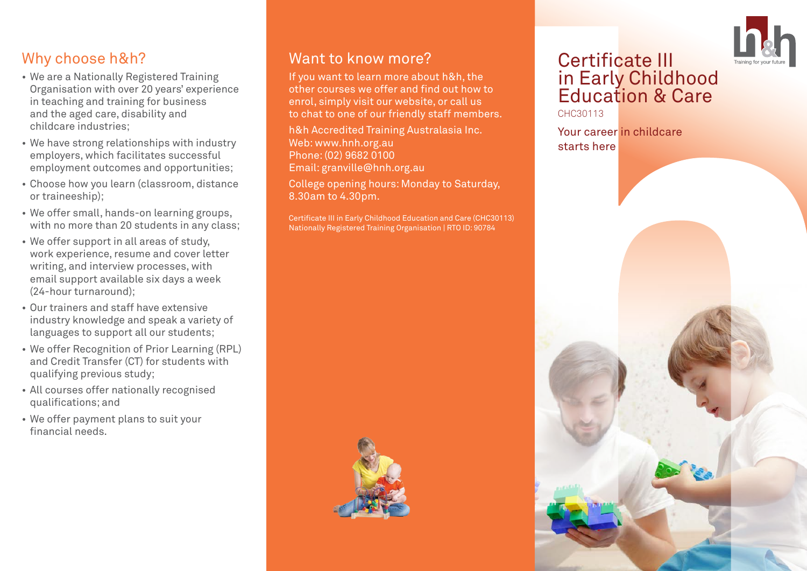# Why choose h&h?

- We are a Nationally Registered Training Organisation with over 20 years' experience in teaching and training for business and the aged care, disability and childcare industries;
- We have strong relationships with industry employers, which facilitates successful employment outcomes and opportunities;
- Choose how you learn (classroom, distance or traineeship);
- We offer small, hands-on learning groups, with no more than 20 students in any class:
- We offer support in all areas of study, work experience, resume and cover letter writing, and interview processes, with email support available six days a week (24-hour turnaround);
- Our trainers and staff have extensive industry knowledge and speak a variety of languages to support all our students;
- We offer Recognition of Prior Learning (RPL) and Credit Transfer (CT) for students with qualifying previous study;
- All courses offer nationally recognised qualifications; and
- We offer payment plans to suit your financial needs.

#### Want to know more?

If you want to learn more about h&h, the other courses we offer and find out how to enrol, simply visit our website, or call us to chat to one of our friendly staff members.

h&h Accredited Training Australasia Inc. Web: www.hnh.org.au Phone: (02) 9682 0100 Email: granville@hnh.org.au

College opening hours: Monday to Saturday, 8.30am to 4.30pm.

Certificate III in Early Childhood Education and Care (CHC30113) Nationally Registered Training Organisation | RTO ID: 90784



# Certificate III in Early Childhood Education & Care

CHC30113

Your career in childcare starts here